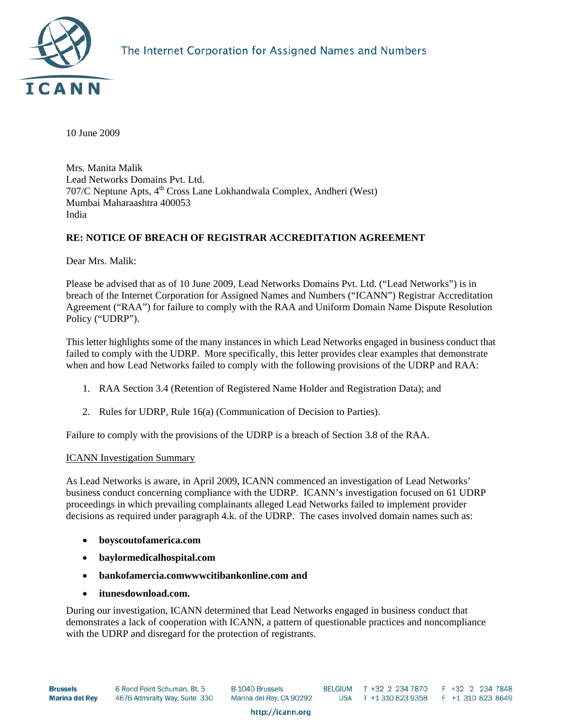

10 June 2009

Mrs. Manita Malik Lead Networks Domains Pvt. Ltd. 707/C Neptune Apts, 4<sup>th</sup> Cross Lane Lokhandwala Complex, Andheri (West) Mumbai Maharaashtra 400053 India

# **RE: NOTICE OF BREACH OF REGISTRAR ACCREDITATION AGREEMENT**

Dear Mrs. Malik:

Please be advised that as of 10 June 2009, Lead Networks Domains Pvt. Ltd. ("Lead Networks") is in breach of the Internet Corporation for Assigned Names and Numbers ("ICANN") Registrar Accreditation Agreement ("RAA") for failure to comply with the RAA and Uniform Domain Name Dispute Resolution Policy ("UDRP").

This letter highlights some of the many instances in which Lead Networks engaged in business conduct that failed to comply with the UDRP. More specifically, this letter provides clear examples that demonstrate when and how Lead Networks failed to comply with the following provisions of the UDRP and RAA:

- 1. RAA Section 3.4 (Retention of Registered Name Holder and Registration Data); and
- 2. Rules for UDRP, Rule 16(a) (Communication of Decision to Parties).

Failure to comply with the provisions of the UDRP is a breach of Section 3.8 of the RAA.

### ICANN Investigation Summary

As Lead Networks is aware, in April 2009, ICANN commenced an investigation of Lead Networks' business conduct concerning compliance with the UDRP. ICANN's investigation focused on 61 UDRP proceedings in which prevailing complainants alleged Lead Networks failed to implement provider decisions as required under paragraph 4.k. of the UDRP. The cases involved domain names such as:

- **boyscoutofamerica.com**
- **baylormedicalhospital.com**
- **bankofamercia.comwwwcitibankonline.com and**
- **itunesdownload.com.**

During our investigation, ICANN determined that Lead Networks engaged in business conduct that demonstrates a lack of cooperation with ICANN, a pattern of questionable practices and noncompliance with the UDRP and disregard for the protection of registrants.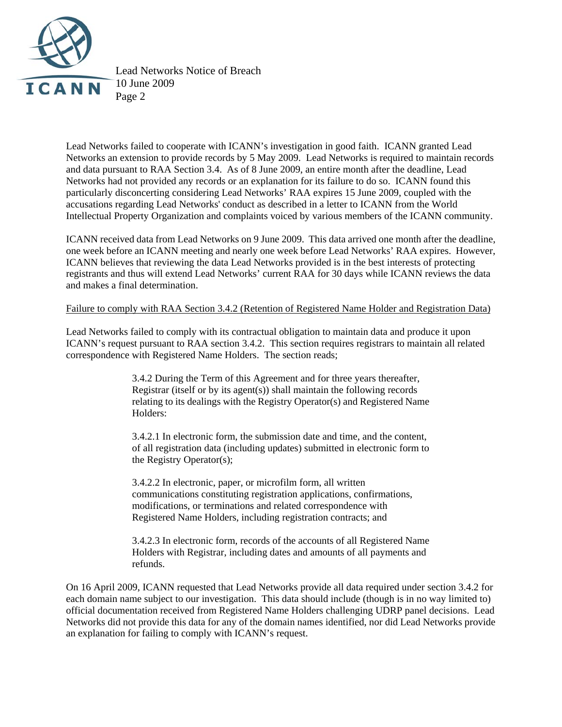

Lead Networks Notice of Breach 10 June 2009 Page 2

Lead Networks failed to cooperate with ICANN's investigation in good faith. ICANN granted Lead Networks an extension to provide records by 5 May 2009. Lead Networks is required to maintain records and data pursuant to RAA Section 3.4. As of 8 June 2009, an entire month after the deadline, Lead Networks had not provided any records or an explanation for its failure to do so. ICANN found this particularly disconcerting considering Lead Networks' RAA expires 15 June 2009, coupled with the accusations regarding Lead Networks' conduct as described in a letter to ICANN from the World Intellectual Property Organization and complaints voiced by various members of the ICANN community.

ICANN received data from Lead Networks on 9 June 2009. This data arrived one month after the deadline, one week before an ICANN meeting and nearly one week before Lead Networks' RAA expires. However, ICANN believes that reviewing the data Lead Networks provided is in the best interests of protecting registrants and thus will extend Lead Networks' current RAA for 30 days while ICANN reviews the data and makes a final determination.

### Failure to comply with RAA Section 3.4.2 (Retention of Registered Name Holder and Registration Data)

Lead Networks failed to comply with its contractual obligation to maintain data and produce it upon ICANN's request pursuant to RAA section 3.4.2. This section requires registrars to maintain all related correspondence with Registered Name Holders. The section reads;

> 3.4.2 During the Term of this Agreement and for three years thereafter, Registrar (itself or by its agent(s)) shall maintain the following records relating to its dealings with the Registry Operator(s) and Registered Name Holders:

> 3.4.2.1 In electronic form, the submission date and time, and the content, of all registration data (including updates) submitted in electronic form to the Registry Operator(s);

3.4.2.2 In electronic, paper, or microfilm form, all written communications constituting registration applications, confirmations, modifications, or terminations and related correspondence with Registered Name Holders, including registration contracts; and

3.4.2.3 In electronic form, records of the accounts of all Registered Name Holders with Registrar, including dates and amounts of all payments and refunds.

On 16 April 2009, ICANN requested that Lead Networks provide all data required under section 3.4.2 for each domain name subject to our investigation. This data should include (though is in no way limited to) official documentation received from Registered Name Holders challenging UDRP panel decisions. Lead Networks did not provide this data for any of the domain names identified, nor did Lead Networks provide an explanation for failing to comply with ICANN's request.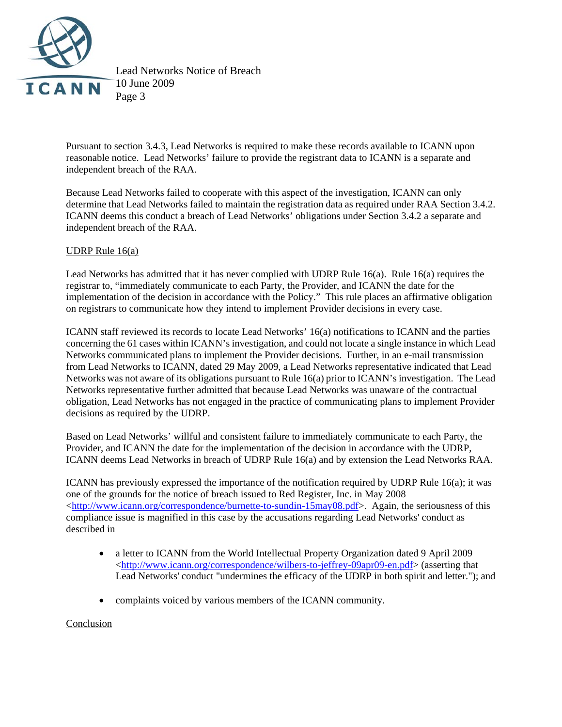

Lead Networks Notice of Breach 10 June 2009 Page 3

Pursuant to section 3.4.3, Lead Networks is required to make these records available to ICANN upon reasonable notice. Lead Networks' failure to provide the registrant data to ICANN is a separate and independent breach of the RAA.

Because Lead Networks failed to cooperate with this aspect of the investigation, ICANN can only determine that Lead Networks failed to maintain the registration data as required under RAA Section 3.4.2. ICANN deems this conduct a breach of Lead Networks' obligations under Section 3.4.2 a separate and independent breach of the RAA.

## UDRP Rule 16(a)

Lead Networks has admitted that it has never complied with UDRP Rule 16(a). Rule 16(a) requires the registrar to, "immediately communicate to each Party, the Provider, and ICANN the date for the implementation of the decision in accordance with the Policy." This rule places an affirmative obligation on registrars to communicate how they intend to implement Provider decisions in every case.

ICANN staff reviewed its records to locate Lead Networks' 16(a) notifications to ICANN and the parties concerning the 61 cases within ICANN's investigation, and could not locate a single instance in which Lead Networks communicated plans to implement the Provider decisions. Further, in an e-mail transmission from Lead Networks to ICANN, dated 29 May 2009, a Lead Networks representative indicated that Lead Networks was not aware of its obligations pursuant to Rule 16(a) prior to ICANN's investigation. The Lead Networks representative further admitted that because Lead Networks was unaware of the contractual obligation, Lead Networks has not engaged in the practice of communicating plans to implement Provider decisions as required by the UDRP.

Based on Lead Networks' willful and consistent failure to immediately communicate to each Party, the Provider, and ICANN the date for the implementation of the decision in accordance with the UDRP, ICANN deems Lead Networks in breach of UDRP Rule 16(a) and by extension the Lead Networks RAA.

ICANN has previously expressed the importance of the notification required by UDRP Rule 16(a); it was one of the grounds for the notice of breach issued to Red Register, Inc. in May 2008 [<http://www.icann.org/correspondence/burnette-to-sundin-15may08.pdf>](http://www.icann.org/correspondence/burnette-to-sundin-15may08.pdf). Again, the seriousness of this compliance issue is magnified in this case by the accusations regarding Lead Networks' conduct as described in

- a letter to ICANN from the World Intellectual Property Organization dated 9 April 2009 [<http://www.icann.org/correspondence/wilbers-to-jeffrey-09apr09-en.pdf](http://www.icann.org/correspondence/wilbers-to-jeffrey-09apr09-en.pdf)> (asserting that Lead Networks' conduct "undermines the efficacy of the UDRP in both spirit and letter."); and
- complaints voiced by various members of the ICANN community.

### Conclusion